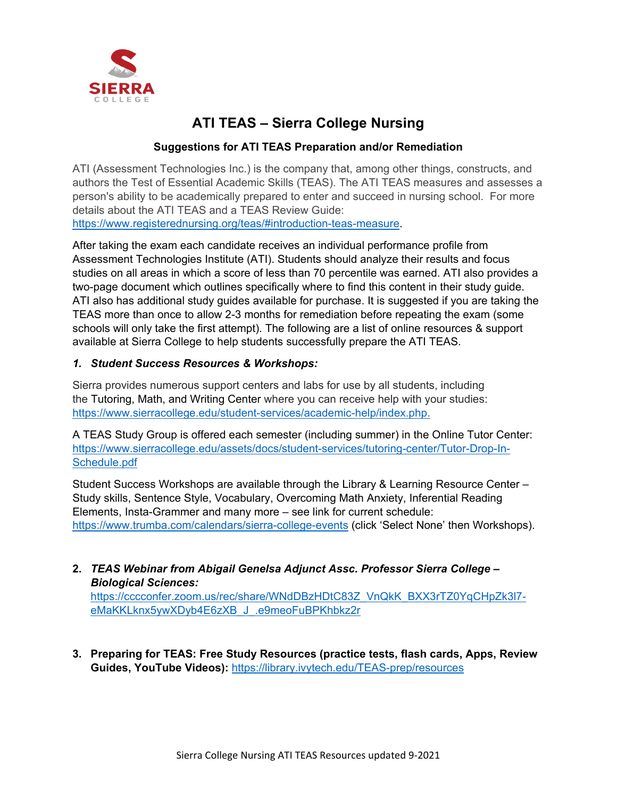

# **ATI TEAS – Sierra College Nursing**

# **Suggestions for ATI TEAS Preparation and/or Remediation**

 details about the ATI TEAS and a TEAS Review Guide: https://www.registerednursing.org/teas/#introduction-teas-measure. ATI (Assessment Technologies Inc.) is the company that, among other things, constructs, and authors the Test of Essential Academic Skills (TEAS). The ATI TEAS measures and assesses a person's ability to be academically prepared to enter and succeed in nursing school. For more

After taking the exam each candidate receives an individual performance profile from Assessment Technologies Institute (ATI). Students should analyze their results and focus studies on all areas in which a score of less than 70 percentile was earned. ATI also provides a two-page document which outlines specifically where to find this content in their study guide. ATI also has additional study guides available for purchase. It is suggested if you are taking the TEAS more than once to allow 2-3 months for remediation before repeating the exam (some schools will only take the first attempt). The following are a list of online resources & support available at Sierra College to help students successfully prepare the ATI TEAS.

## *1. Student Success Resources & Workshops:*

 the [Tutoring,](https://www.sierracollege.edu/student-services/academic-help/tutoring-center.php) [Math,](https://www.sierracollege.edu/student-services/academic-help/math-center.php) and [Writing Center](https://www.sierracollege.edu/student-services/academic-help/writing-center.php) where you can receive help with your studies: Sierra provides numerous support centers and labs for use by all students, including [https://www.sierracollege.edu/student-services/academic-help/index.php.](https://www.sierracollege.edu/student-services/academic-help/index.php)

Schedule.pdf A TEAS Study Group is offered each semester (including summer) in the Online Tutor Center: [https://www.sierracollege.edu/assets/docs/student-services/tutoring-center/Tutor-Drop-In-](https://www.sierracollege.edu/assets/docs/student-services/tutoring-center/Tutor-Drop-In-Schedule.pdf)

Student Success Workshops are available through the Library & Learning Resource Center – Study skills, Sentence Style, Vocabulary, Overcoming Math Anxiety, Inferential Reading Elements, Insta-Grammer and many more – see link for current schedule: <https://www.trumba.com/calendars/sierra-college-events>(click 'Select None' then Workshops).

## **2.** *TEAS Webinar from Abigail Genelsa Adjunct Assc. Professor Sierra College – Biological Sciences:*

 [eMaKKLknx5ywXDyb4E6zXB\\_J\\_.e9meoFuBPKhbkz2r](https://cccconfer.zoom.us/rec/share/WNdDBzHDtC83Z_VnQkK_BXX3rTZ0YqCHpZk3l7-eMaKKLknx5ywXDyb4E6zXB_J_.e9meoFuBPKhbkz2r) [https://cccconfer.zoom.us/rec/share/WNdDBzHDtC83Z\\_VnQkK\\_BXX3rTZ0YqCHpZk3l7-](https://cccconfer.zoom.us/rec/share/WNdDBzHDtC83Z_VnQkK_BXX3rTZ0YqCHpZk3l7-eMaKKLknx5ywXDyb4E6zXB_J_.e9meoFuBPKhbkz2r)

 **Guides, YouTube Videos):** <https://library.ivytech.edu/TEAS-prep/resources>**3. Preparing for TEAS: Free Study Resources (practice tests, flash cards, Apps, Review**